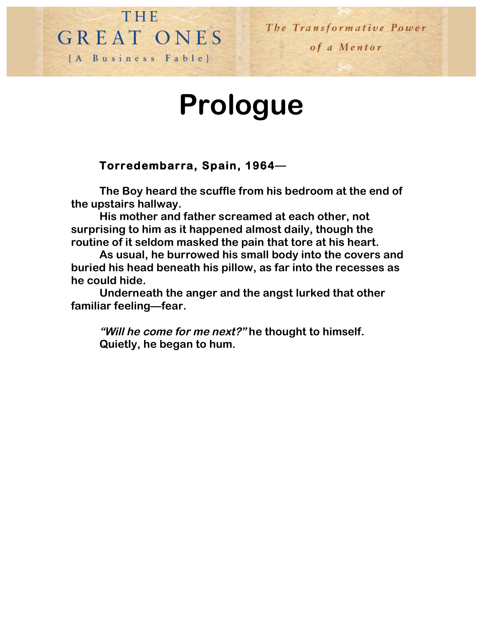THE **GREAT ONES** [A Business Fable]

The Transformative Power of a Mentor

## **Prologue**

#### **Torredembarra, Spain, 1964—**

**The Boy heard the scuffle from his bedroom at the end of the upstairs hallway.**

**His mother and father screamed at each other, not surprising to him as it happened almost daily, though the routine of it seldom masked the pain that tore at his heart.**

**As usual, he burrowed his small body into the covers and buried his head beneath his pillow, as far into the recesses as he could hide.**

**Underneath the anger and the angst lurked that other familiar feeling—fear.**

**"Will he come for me next?" he thought to himself. Quietly, he began to hum.**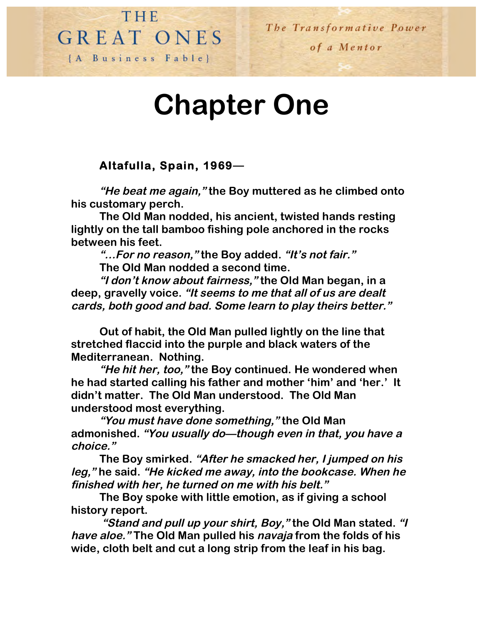THE GREAT ONES {A Business Fable}

The Transformative Power of a Mentor

# **Chapter One**

### **Altafulla, Spain, 1969—**

**"He beat me again," the Boy muttered as he climbed onto his customary perch.**

**The Old Man nodded, his ancient, twisted hands resting lightly on the tall bamboo fishing pole anchored in the rocks between his feet.**

**"…For no reason," the Boy added. "It's not fair." The Old Man nodded a second time.**

**"I don't know about fairness," the Old Man began, in a deep, gravelly voice. "It seems to me that all of us are dealt cards, both good and bad. Some learn to play theirs better."**

**Out of habit, the Old Man pulled lightly on the line that stretched flaccid into the purple and black waters of the Mediterranean. Nothing.**

**"He hit her, too," the Boy continued. He wondered when he had started calling his father and mother 'him' and 'her.' It didn't matter. The Old Man understood. The Old Man understood most everything.**

**"You must have done something," the Old Man admonished. "You usually do—though even in that, you have a choice."**

**The Boy smirked. "After he smacked her, I jumped on his leg," he said. "He kicked me away, into the bookcase. When he finished with her, he turned on me with his belt."**

**The Boy spoke with little emotion, as if giving a school history report.**

 **"Stand and pull up your shirt, Boy," the Old Man stated. "I have aloe." The Old Man pulled his navaja from the folds of his wide, cloth belt and cut a long strip from the leaf in his bag.**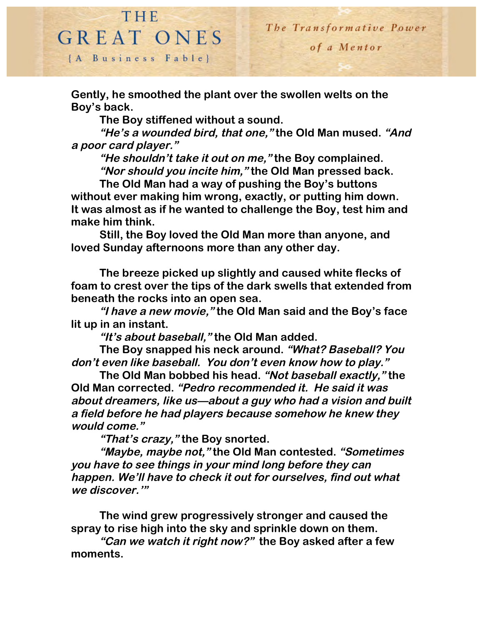### THE **GREAT ONES** [A Business Fable]

**Gently, he smoothed the plant over the swollen welts on the Boy's back.**

**The Boy stiffened without a sound.**

**"He's a wounded bird, that one," the Old Man mused. "And a poor card player."** 

**"He shouldn't take it out on me," the Boy complained. "Nor should you incite him," the Old Man pressed back.**

**The Old Man had a way of pushing the Boy's buttons without ever making him wrong, exactly, or putting him down. It was almost as if he wanted to challenge the Boy, test him and make him think.**

**Still, the Boy loved the Old Man more than anyone, and loved Sunday afternoons more than any other day.**

**The breeze picked up slightly and caused white flecks of foam to crest over the tips of the dark swells that extended from beneath the rocks into an open sea.**

**"I have a new movie," the Old Man said and the Boy's face lit up in an instant.**

**"It's about baseball," the Old Man added.**

**The Boy snapped his neck around. "What? Baseball? You don't even like baseball. You don't even know how to play."**

**The Old Man bobbed his head. "Not baseball exactly," the Old Man corrected. "Pedro recommended it. He said it was about dreamers, like us—about a guy who had a vision and built a field before he had players because somehow he knew they would come."**

**"That's crazy," the Boy snorted.**

**"Maybe, maybe not," the Old Man contested. "Sometimes you have to see things in your mind long before they can happen. We'll have to check it out for ourselves, find out what we discover.'"**

**The wind grew progressively stronger and caused the spray to rise high into the sky and sprinkle down on them.**

**"Can we watch it right now?" the Boy asked after a few moments.**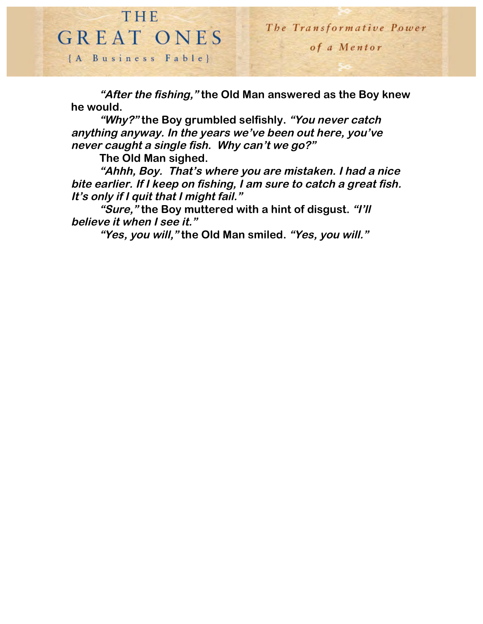**"After the fishing," the Old Man answered as the Boy knew he would.**

**"Why?" the Boy grumbled selfishly. "You never catch anything anyway. In the years we've been out here, you've never caught a single fish. Why can't we go?"**

**The Old Man sighed.**

THE

**GREAT ONES** 

[A Business Fable]

**"Ahhh, Boy. That's where you are mistaken. I had a nice bite earlier. If I keep on fishing, I am sure to catch a great fish. It's only if I quit that I might fail."**

**"Sure," the Boy muttered with a hint of disgust. "I'll believe it when I see it."**

**"Yes, you will," the Old Man smiled. "Yes, you will."**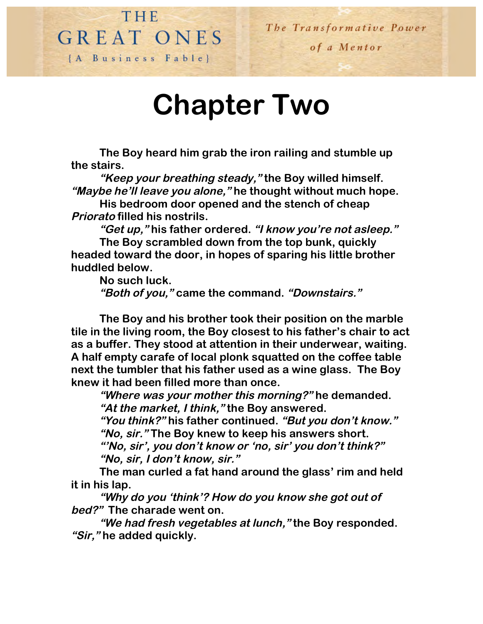## **Chapter Two**

**The Boy heard him grab the iron railing and stumble up the stairs.**

**"Keep your breathing steady," the Boy willed himself. "Maybe he'll leave you alone," he thought without much hope.**

**His bedroom door opened and the stench of cheap Priorato filled his nostrils.**

**"Get up," his father ordered. "I know you're not asleep." The Boy scrambled down from the top bunk, quickly headed toward the door, in hopes of sparing his little brother huddled below.**

**No such luck.**

THE

**GREAT ONES** 

{A Business Fable}

**"Both of you," came the command. "Downstairs."**

**The Boy and his brother took their position on the marble tile in the living room, the Boy closest to his father's chair to act as a buffer. They stood at attention in their underwear, waiting. A half empty carafe of local plonk squatted on the coffee table next the tumbler that his father used as a wine glass. The Boy knew it had been filled more than once.**

**"Where was your mother this morning?" he demanded. "At the market, I think," the Boy answered.**

**"You think?" his father continued. "But you don't know." "No, sir." The Boy knew to keep his answers short.**

**"'No, sir', you don't know or 'no, sir' you don't think?" "No, sir, I don't know, sir."**

**The man curled a fat hand around the glass' rim and held it in his lap.**

**"Why do you 'think'? How do you know she got out of bed?" The charade went on.**

**"We had fresh vegetables at lunch," the Boy responded. "Sir," he added quickly.**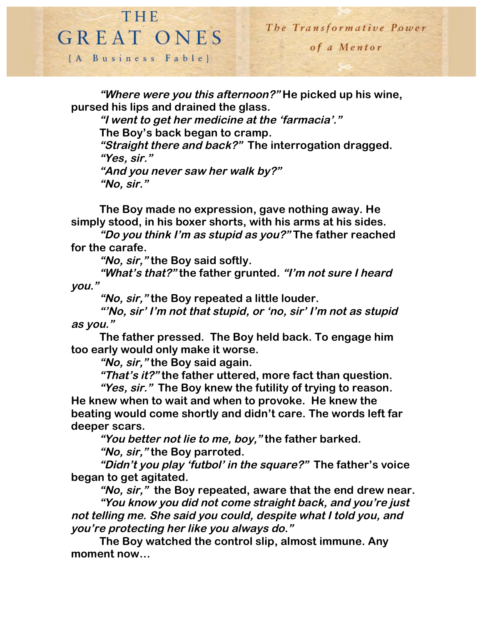**"Where were you this afternoon?" He picked up his wine, pursed his lips and drained the glass.**

**"I went to get her medicine at the 'farmacia'." The Boy's back began to cramp. "Straight there and back?" The interrogation dragged.**

**"Yes, sir." "And you never saw her walk by?" "No, sir."**

THE

**GREAT ONES** 

{A Business Fable}

**The Boy made no expression, gave nothing away. He simply stood, in his boxer shorts, with his arms at his sides.**

**"Do you think I'm as stupid as you?" The father reached for the carafe.** 

**"No, sir," the Boy said softly.**

**"What's that?" the father grunted. "I'm not sure I heard you."**

**"No, sir," the Boy repeated a little louder.**

**"'No, sir' I'm not that stupid, or 'no, sir' I'm not as stupid as you."** 

**The father pressed. The Boy held back. To engage him too early would only make it worse.**

**"No, sir," the Boy said again.**

**"That's it?" the father uttered, more fact than question.**

**"Yes, sir." The Boy knew the futility of trying to reason. He knew when to wait and when to provoke. He knew the beating would come shortly and didn't care. The words left far deeper scars.**

**"You better not lie to me, boy," the father barked.**

**"No, sir," the Boy parroted.**

**"Didn't you play 'futbol' in the square?" The father's voice began to get agitated.**

**"No, sir," the Boy repeated, aware that the end drew near. "You know you did not come straight back, and you're just not telling me. She said you could, despite what I told you, and you're protecting her like you always do."** 

**The Boy watched the control slip, almost immune. Any moment now…**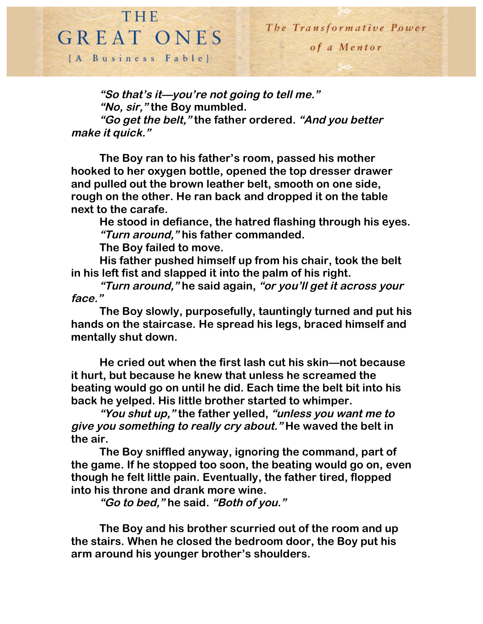**"So that's it—you're not going to tell me." "No, sir," the Boy mumbled.**

**"Go get the belt," the father ordered. "And you better make it quick."**

**The Boy ran to his father's room, passed his mother hooked to her oxygen bottle, opened the top dresser drawer and pulled out the brown leather belt, smooth on one side, rough on the other. He ran back and dropped it on the table next to the carafe.**

**He stood in defiance, the hatred flashing through his eyes. "Turn around," his father commanded.**

**The Boy failed to move.**

THE

**GREAT ONES** 

{A Business Fable}

**His father pushed himself up from his chair, took the belt in his left fist and slapped it into the palm of his right.**

**"Turn around," he said again, "or you'll get it across your face."**

**The Boy slowly, purposefully, tauntingly turned and put his hands on the staircase. He spread his legs, braced himself and mentally shut down.**

**He cried out when the first lash cut his skin—not because it hurt, but because he knew that unless he screamed the beating would go on until he did. Each time the belt bit into his back he yelped. His little brother started to whimper.**

**"You shut up," the father yelled, "unless you want me to give you something to really cry about." He waved the belt in the air.**

**The Boy sniffled anyway, ignoring the command, part of the game. If he stopped too soon, the beating would go on, even though he felt little pain. Eventually, the father tired, flopped into his throne and drank more wine.**

**"Go to bed," he said. "Both of you."**

**The Boy and his brother scurried out of the room and up the stairs. When he closed the bedroom door, the Boy put his arm around his younger brother's shoulders.**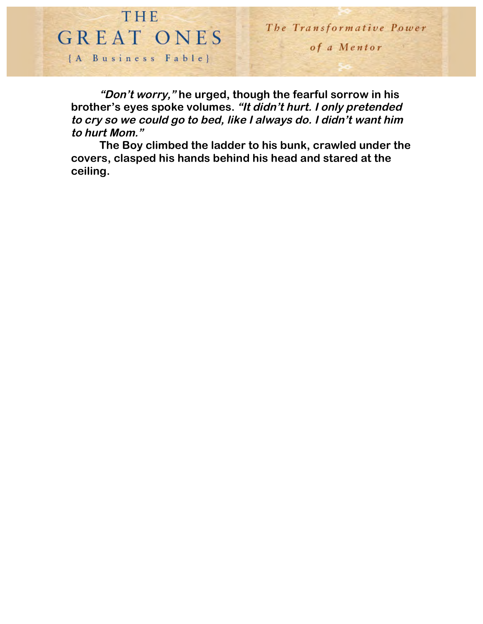

**"Don't worry," he urged, though the fearful sorrow in his brother's eyes spoke volumes. "It didn't hurt. I only pretended to cry so we could go to bed, like I always do. I didn't want him to hurt Mom."** 

**The Boy climbed the ladder to his bunk, crawled under the covers, clasped his hands behind his head and stared at the ceiling.**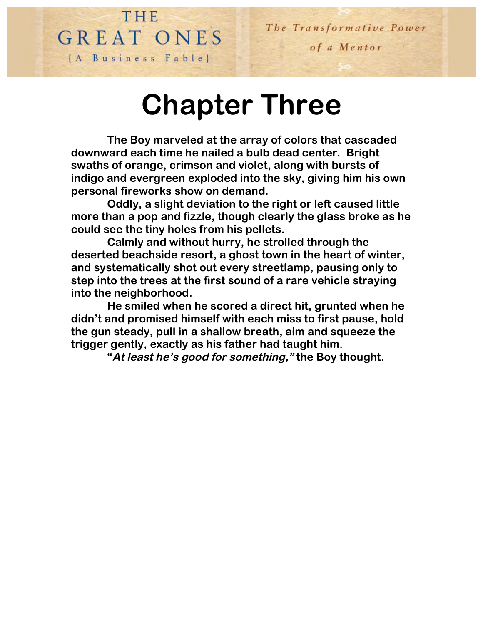### **Chapter Three**

THE

**GREAT ONES** 

{A Business Fable}

**The Boy marveled at the array of colors that cascaded downward each time he nailed a bulb dead center. Bright swaths of orange, crimson and violet, along with bursts of indigo and evergreen exploded into the sky, giving him his own personal fireworks show on demand.** 

**Oddly, a slight deviation to the right or left caused little more than a pop and fizzle, though clearly the glass broke as he could see the tiny holes from his pellets.** 

**Calmly and without hurry, he strolled through the deserted beachside resort, a ghost town in the heart of winter, and systematically shot out every streetlamp, pausing only to step into the trees at the first sound of a rare vehicle straying into the neighborhood.** 

**He smiled when he scored a direct hit, grunted when he didn't and promised himself with each miss to first pause, hold the gun steady, pull in a shallow breath, aim and squeeze the trigger gently, exactly as his father had taught him.** 

**"At least he's good for something," the Boy thought.**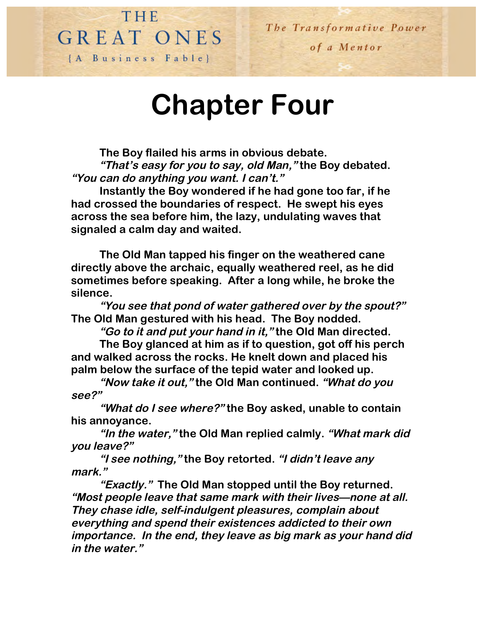### **Chapter Four**

**The Boy flailed his arms in obvious debate. "That's easy for you to say, old Man," the Boy debated. "You can do anything you want. I can't."** 

THE

**GREAT ONES** 

{A Business Fable}

**Instantly the Boy wondered if he had gone too far, if he had crossed the boundaries of respect. He swept his eyes across the sea before him, the lazy, undulating waves that signaled a calm day and waited.**

**The Old Man tapped his finger on the weathered cane directly above the archaic, equally weathered reel, as he did sometimes before speaking. After a long while, he broke the silence.**

**"You see that pond of water gathered over by the spout?" The Old Man gestured with his head. The Boy nodded.**

**"Go to it and put your hand in it," the Old Man directed.**

**The Boy glanced at him as if to question, got off his perch and walked across the rocks. He knelt down and placed his palm below the surface of the tepid water and looked up.**

**"Now take it out," the Old Man continued. "What do you see?"**

**"What do I see where?" the Boy asked, unable to contain his annoyance.**

**"In the water," the Old Man replied calmly. "What mark did you leave?"**

**"I see nothing," the Boy retorted. "I didn't leave any mark."**

**"Exactly." The Old Man stopped until the Boy returned. "Most people leave that same mark with their lives—none at all. They chase idle, self-indulgent pleasures, complain about everything and spend their existences addicted to their own importance. In the end, they leave as big mark as your hand did in the water."**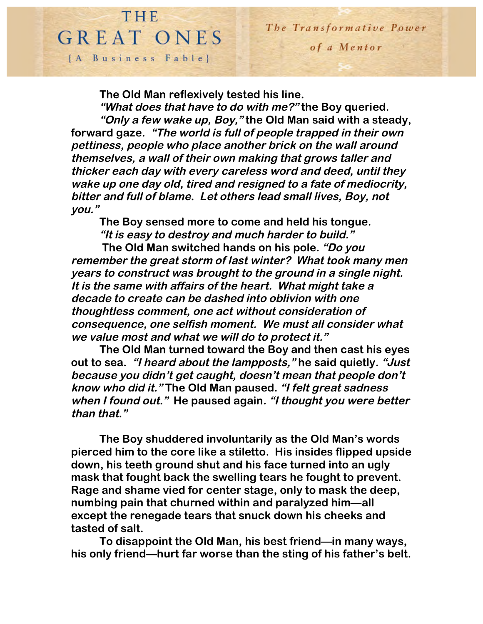**The Old Man reflexively tested his line.**

**"What does that have to do with me?" the Boy queried. "Only a few wake up, Boy," the Old Man said with a steady, forward gaze. "The world is full of people trapped in their own pettiness, people who place another brick on the wall around themselves, a wall of their own making that grows taller and thicker each day with every careless word and deed, until they wake up one day old, tired and resigned to a fate of mediocrity, bitter and full of blame. Let others lead small lives, Boy, not you."** 

**The Boy sensed more to come and held his tongue.**

**"It is easy to destroy and much harder to build."**

**The Old Man switched hands on his pole. "Do you remember the great storm of last winter? What took many men years to construct was brought to the ground in a single night. It is the same with affairs of the heart. What might take a decade to create can be dashed into oblivion with one thoughtless comment, one act without consideration of consequence, one selfish moment. We must all consider what we value most and what we will do to protect it."**

**The Old Man turned toward the Boy and then cast his eyes out to sea. "I heard about the lampposts," he said quietly. "Just because you didn't get caught, doesn't mean that people don't know who did it." The Old Man paused. "I felt great sadness when I found out." He paused again. "I thought you were better than that."**

**The Boy shuddered involuntarily as the Old Man's words pierced him to the core like a stiletto. His insides flipped upside down, his teeth ground shut and his face turned into an ugly mask that fought back the swelling tears he fought to prevent. Rage and shame vied for center stage, only to mask the deep, numbing pain that churned within and paralyzed him—all except the renegade tears that snuck down his cheeks and tasted of salt.**

**To disappoint the Old Man, his best friend—in many ways, his only friend—hurt far worse than the sting of his father's belt.**